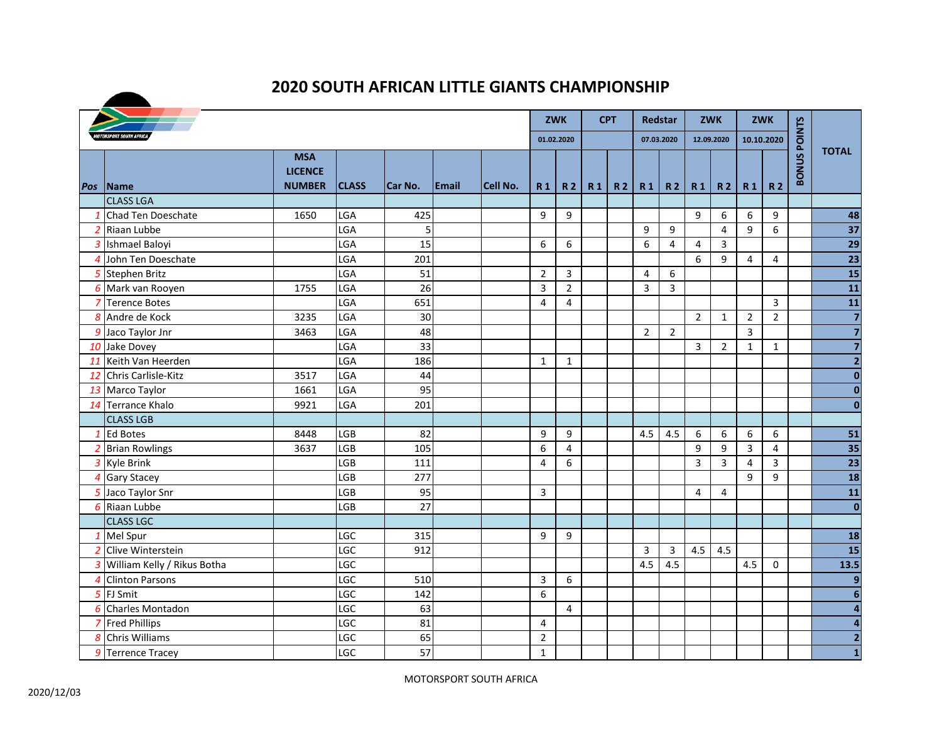## **2020 SOUTH AFRICAN LITTLE GIANTS CHAMPIONSHIP**

|  |                               |                                               |              |         |               |          |                |                |           | <b>CPT</b>     | Redstar        |                |                | <b>ZWK</b>     |                | ZWK            |               |                         |
|--|-------------------------------|-----------------------------------------------|--------------|---------|---------------|----------|----------------|----------------|-----------|----------------|----------------|----------------|----------------|----------------|----------------|----------------|---------------|-------------------------|
|  |                               |                                               |              |         |               |          |                | 01.02.2020     |           |                |                | 07.03.2020     |                | 12.09.2020     |                | 10.10.2020     | <b>POINTS</b> |                         |
|  | Pos Name                      | <b>MSA</b><br><b>LICENCE</b><br><b>NUMBER</b> | <b>CLASS</b> | Car No. | <b>IEmail</b> | Cell No. | R <sub>1</sub> | <b>R2</b>      | <b>R1</b> | R <sub>2</sub> | <b>R1</b>      | <b>R2</b>      | R <sub>1</sub> | R <sub>2</sub> | R <sub>1</sub> | <b>R2</b>      | <b>BONUS</b>  | <b>TOTAL</b>            |
|  | <b>CLASS LGA</b>              |                                               |              |         |               |          |                |                |           |                |                |                |                |                |                |                |               |                         |
|  | 1 Chad Ten Doeschate          | 1650                                          | LGA          | 425     |               |          | 9              | 9              |           |                |                |                | 9              | 6              | 6              | 9              |               | 48                      |
|  | 2 Riaan Lubbe                 |                                               | LGA          | 5       |               |          |                |                |           |                | 9              | 9              |                | 4              | 9              | 6              |               | 37                      |
|  | 3 Ishmael Baloyi              |                                               | LGA          | 15      |               |          | 6              | 6              |           |                | 6              | $\overline{4}$ | 4              | 3              |                |                |               | 29                      |
|  | 4 John Ten Doeschate          |                                               | LGA          | 201     |               |          |                |                |           |                |                |                | 6              | 9              | $\overline{4}$ | 4              |               | 23                      |
|  | 5 Stephen Britz               |                                               | LGA          | 51      |               |          | $\overline{2}$ | 3              |           |                | 4              | 6              |                |                |                |                |               | 15                      |
|  | 6 Mark van Rooyen             | 1755                                          | LGA          | 26      |               |          | 3              | $\overline{2}$ |           |                | 3              | $\overline{3}$ |                |                |                |                |               | 11                      |
|  | 7 Terence Botes               |                                               | LGA          | 651     |               |          | 4              | 4              |           |                |                |                |                |                |                | 3              |               | 11                      |
|  | 8 Andre de Kock               | 3235                                          | LGA          | 30      |               |          |                |                |           |                |                |                | $\overline{2}$ | $\mathbf{1}$   | $\overline{2}$ | $\overline{2}$ |               | $\overline{7}$          |
|  | 9 Jaco Taylor Jnr             | 3463                                          | LGA          | 48      |               |          |                |                |           |                | $\overline{2}$ | $\overline{2}$ |                |                | $\mathbf{3}$   |                |               | $\overline{\mathbf{z}}$ |
|  | 10 Jake Dovey                 |                                               | LGA          | 33      |               |          |                |                |           |                |                |                | 3              | $\overline{2}$ | $\mathbf{1}$   | $\mathbf{1}$   |               | $\overline{7}$          |
|  | 11 Keith Van Heerden          |                                               | LGA          | 186     |               |          | $\mathbf{1}$   | $\mathbf{1}$   |           |                |                |                |                |                |                |                |               | $\overline{2}$          |
|  | 12 Chris Carlisle-Kitz        | 3517                                          | LGA          | 44      |               |          |                |                |           |                |                |                |                |                |                |                |               | $\bf{0}$                |
|  | 13 Marco Taylor               | 1661                                          | LGA          | 95      |               |          |                |                |           |                |                |                |                |                |                |                |               | $\bf{0}$                |
|  | 14 Terrance Khalo             | 9921                                          | LGA          | 201     |               |          |                |                |           |                |                |                |                |                |                |                |               | $\mathbf{0}$            |
|  | <b>CLASS LGB</b>              |                                               |              |         |               |          |                |                |           |                |                |                |                |                |                |                |               |                         |
|  | 1 Ed Botes                    | 8448                                          | <b>LGB</b>   | 82      |               |          | 9              | 9              |           |                | 4.5            | 4.5            | 6              | 6              | 6              | 6              |               | 51                      |
|  | 2 Brian Rowlings              | 3637                                          | <b>LGB</b>   | 105     |               |          | 6              | 4              |           |                |                |                | 9              | 9              | 3              | 4              |               | 35                      |
|  | 3 Kyle Brink                  |                                               | <b>LGB</b>   | 111     |               |          | 4              | 6              |           |                |                |                | 3              | 3              | $\overline{4}$ | 3              |               | 23                      |
|  | 4 Gary Stacey                 |                                               | LGB          | 277     |               |          |                |                |           |                |                |                |                |                | 9              | 9              |               | 18                      |
|  | 5 Jaco Taylor Snr             |                                               | LGB          | 95      |               |          | $\overline{3}$ |                |           |                |                |                | 4              | 4              |                |                |               | 11                      |
|  | 6 Riaan Lubbe                 |                                               | <b>LGB</b>   | 27      |               |          |                |                |           |                |                |                |                |                |                |                |               | $\overline{\mathbf{0}}$ |
|  | <b>CLASS LGC</b>              |                                               |              |         |               |          |                |                |           |                |                |                |                |                |                |                |               |                         |
|  | 1 Mel Spur                    |                                               | LGC          | 315     |               |          | 9              | 9              |           |                |                |                |                |                |                |                |               | 18                      |
|  | 2 Clive Winterstein           |                                               | LGC          | 912     |               |          |                |                |           |                | $\mathbf{3}$   | 3              | 4.5            | 4.5            |                |                |               | 15                      |
|  | 3 William Kelly / Rikus Botha |                                               | LGC          |         |               |          |                |                |           |                | 4.5            | 4.5            |                |                | 4.5            | $\mathbf{0}$   |               | 13.5                    |
|  | 4 Clinton Parsons             |                                               | LGC          | 510     |               |          | 3              | 6              |           |                |                |                |                |                |                |                |               | 9                       |
|  | 5 FJ Smit                     |                                               | LGC          | 142     |               |          | 6              |                |           |                |                |                |                |                |                |                |               | $6\phantom{1}6$         |
|  | 6 Charles Montadon            |                                               | LGC          | 63      |               |          |                | $\overline{4}$ |           |                |                |                |                |                |                |                |               | $\overline{\mathbf{4}}$ |
|  | 7 Fred Phillips               |                                               | LGC          | 81      |               |          | 4              |                |           |                |                |                |                |                |                |                |               | $\overline{\mathbf{a}}$ |
|  | 8 Chris Williams              |                                               | LGC          | 65      |               |          | 2              |                |           |                |                |                |                |                |                |                |               | $\overline{2}$          |
|  | 9 Terrence Tracey             |                                               | LGC          | 57      |               |          | $\mathbf{1}$   |                |           |                |                |                |                |                |                |                |               | $\mathbf{1}$            |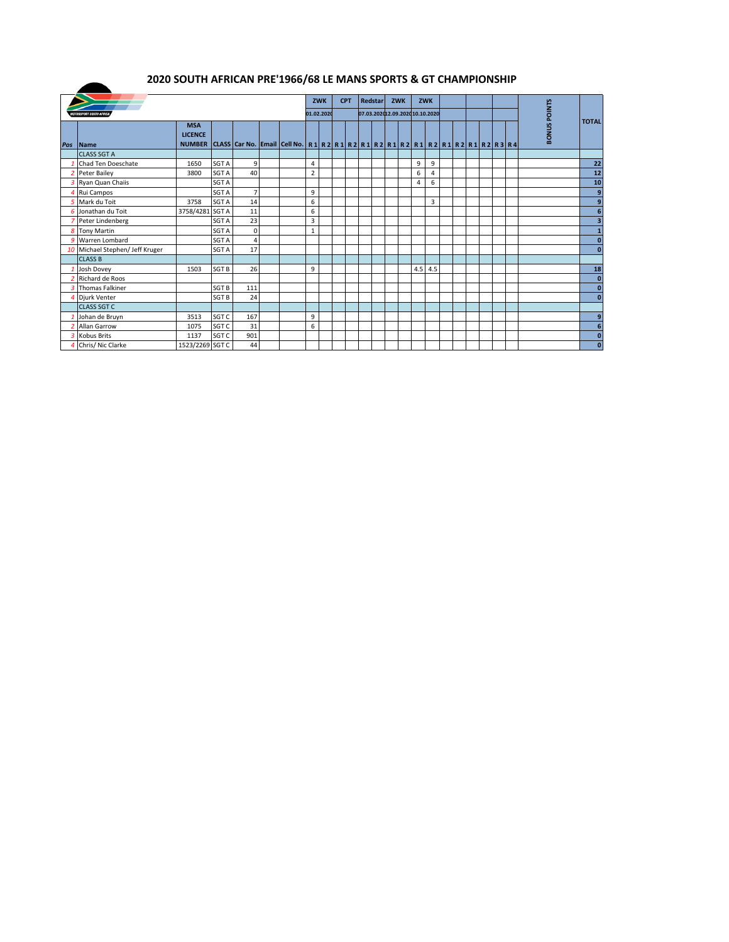## **2020 SOUTH AFRICAN PRE'1966/68 LE MANS SPORTS & GT CHAMPIONSHIP**

 $\blacktriangle$ 

|     |                                 |                                               |                  |                |  |                                                                                                                                    |                | <b>ZWK</b> |  | <b>CPT</b> |  | <b>Redstar</b> | <b>ZWK</b>                      |     | <b>ZWK</b> |  |  |               |              |              |
|-----|---------------------------------|-----------------------------------------------|------------------|----------------|--|------------------------------------------------------------------------------------------------------------------------------------|----------------|------------|--|------------|--|----------------|---------------------------------|-----|------------|--|--|---------------|--------------|--------------|
|     | <b>IOTORSPORT SOUTH AFRICI</b>  |                                               |                  |                |  |                                                                                                                                    | 01.02.2020     |            |  |            |  |                | 07.03.202012.09.2020 10.10.2020 |     |            |  |  | <b>POINTS</b> |              |              |
| Pos | <b>Name</b>                     | <b>MSA</b><br><b>LICENCE</b><br><b>NUMBER</b> |                  |                |  | CLASS   Car No.   Email   Cell No.   R 1   R 2   R 1   R 2   R 1   R 2   R 1   R 2   R 1   R 2   R 1   R 2   R 1   R 2   R 3   R 4 |                |            |  |            |  |                |                                 |     |            |  |  |               | <b>BONUS</b> | <b>TOTAL</b> |
|     | <b>CLASS SGT A</b>              |                                               |                  |                |  |                                                                                                                                    |                |            |  |            |  |                |                                 |     |            |  |  |               |              |              |
|     | Chad Ten Doeschate              | 1650                                          | SGT A            | 9              |  |                                                                                                                                    | 4              |            |  |            |  |                |                                 | 9   | 9          |  |  |               |              | 22           |
|     | 2 Peter Bailey                  | 3800                                          | SGT A            | 40             |  |                                                                                                                                    | $\overline{2}$ |            |  |            |  |                |                                 | 6   | 4          |  |  |               |              | 12           |
|     | 3 Ryan Quan Chaiis              |                                               | SGT A            |                |  |                                                                                                                                    |                |            |  |            |  |                |                                 | 4   | 6          |  |  |               |              | 10           |
|     | Rui Campos                      |                                               | SGT A            | $\overline{7}$ |  |                                                                                                                                    | 9              |            |  |            |  |                |                                 |     |            |  |  |               |              | 9            |
|     | 5 Mark du Toit                  | 3758                                          | <b>SGT A</b>     | 14             |  |                                                                                                                                    | 6              |            |  |            |  |                |                                 |     | 3          |  |  |               |              | 9            |
|     | 6 Jonathan du Toit              | 3758/4281 SGT A                               |                  | 11             |  |                                                                                                                                    | 6              |            |  |            |  |                |                                 |     |            |  |  |               |              | 6            |
|     | Peter Lindenberg                |                                               | SGT A            | 23             |  |                                                                                                                                    | 3              |            |  |            |  |                |                                 |     |            |  |  |               |              | 3            |
| 8   | <b>Tony Martin</b>              |                                               | SGT A            | $\mathbf 0$    |  |                                                                                                                                    | $\mathbf{1}$   |            |  |            |  |                |                                 |     |            |  |  |               |              |              |
|     | 9 Warren Lombard                |                                               | SGT A            | $\overline{4}$ |  |                                                                                                                                    |                |            |  |            |  |                |                                 |     |            |  |  |               |              | $\bf{0}$     |
|     | 10 Michael Stephen/ Jeff Kruger |                                               | SGT A            | 17             |  |                                                                                                                                    |                |            |  |            |  |                |                                 |     |            |  |  |               |              | $\bf{0}$     |
|     | <b>CLASS B</b>                  |                                               |                  |                |  |                                                                                                                                    |                |            |  |            |  |                |                                 |     |            |  |  |               |              |              |
|     | Josh Dovey                      | 1503                                          | SGT <sub>B</sub> | 26             |  |                                                                                                                                    | 9              |            |  |            |  |                |                                 | 4.5 | 4.5        |  |  |               |              | 18           |
|     | Richard de Roos                 |                                               |                  |                |  |                                                                                                                                    |                |            |  |            |  |                |                                 |     |            |  |  |               |              | $\mathbf{0}$ |
|     | 3 Thomas Falkiner               |                                               | <b>SGT B</b>     | 111            |  |                                                                                                                                    |                |            |  |            |  |                |                                 |     |            |  |  |               |              | $\mathbf{0}$ |
|     | Djurk Venter                    |                                               | <b>SGT B</b>     | 24             |  |                                                                                                                                    |                |            |  |            |  |                |                                 |     |            |  |  |               |              | $\bf{0}$     |
|     | <b>CLASS SGT C</b>              |                                               |                  |                |  |                                                                                                                                    |                |            |  |            |  |                |                                 |     |            |  |  |               |              |              |
|     | Johan de Bruyn                  | 3513                                          | SGT <sub>C</sub> | 167            |  |                                                                                                                                    | 9              |            |  |            |  |                |                                 |     |            |  |  |               |              | 9            |
|     | Allan Garrow                    | 1075                                          | SGT C            | 31             |  |                                                                                                                                    | 6              |            |  |            |  |                |                                 |     |            |  |  |               |              | 6            |
|     | 3 Kobus Brits                   | 1137                                          | SGT <sub>C</sub> | 901            |  |                                                                                                                                    |                |            |  |            |  |                |                                 |     |            |  |  |               |              | $\bf{0}$     |
|     | 4 Chris/ Nic Clarke             | 1523/2269 SGT C                               |                  | 44             |  |                                                                                                                                    |                |            |  |            |  |                |                                 |     |            |  |  |               |              | $\bf{0}$     |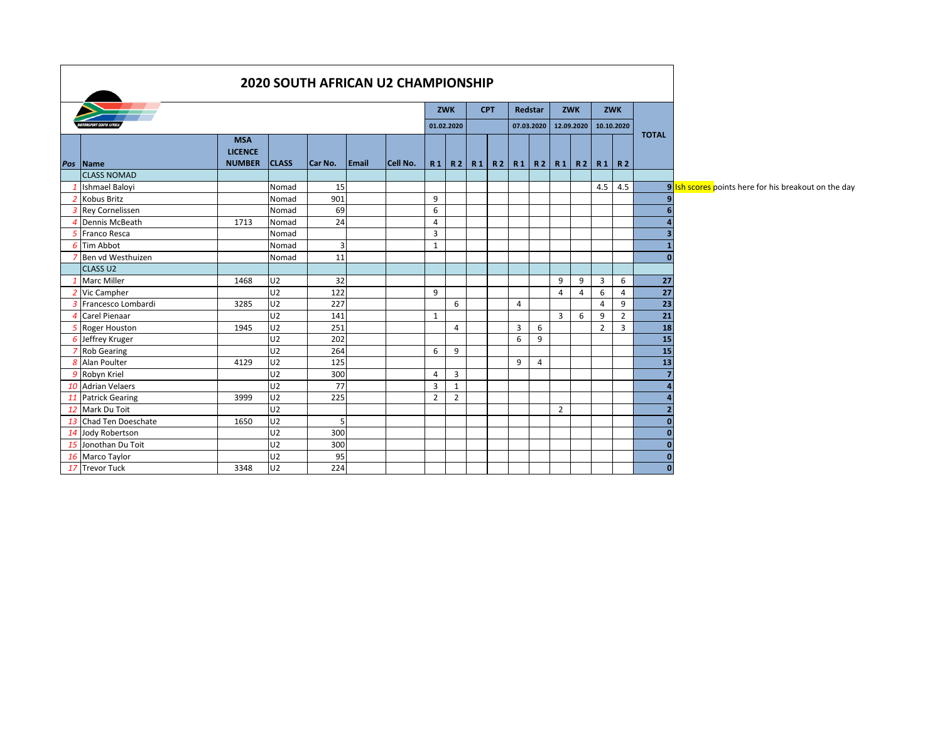| <b>2020 SOUTH AFRICAN U2 CHAMPIONSHIP</b> |                              |                |                         |       |          |                |                          |            |                                                 |                |                |                |            |                |                |                 |                                                      |
|-------------------------------------------|------------------------------|----------------|-------------------------|-------|----------|----------------|--------------------------|------------|-------------------------------------------------|----------------|----------------|----------------|------------|----------------|----------------|-----------------|------------------------------------------------------|
|                                           |                              |                | <b>CPT</b>              |       | Redstar  | ZWK            |                          | <b>ZWK</b> |                                                 |                |                |                |            |                |                |                 |                                                      |
| <b>RSPORT SOUTH AFRIC</b>                 |                              |                |                         |       |          |                | <b>ZWK</b><br>01.02.2020 |            |                                                 | 07.03.2020     |                |                | 12.09.2020 |                | 10.10.2020     |                 |                                                      |
|                                           |                              |                |                         |       |          |                |                          |            |                                                 |                |                |                |            |                |                | <b>TOTAL</b>    |                                                      |
|                                           | <b>MSA</b><br><b>LICENCE</b> |                |                         |       |          |                |                          |            |                                                 |                |                |                |            |                |                |                 |                                                      |
| Pos Name                                  | <b>NUMBER</b>                | <b>CLASS</b>   | Car No.                 | Email | Cell No. |                |                          |            | R1   R2   R1   R2   R1   R2   R1   R2   R1   R2 |                |                |                |            |                |                |                 |                                                      |
| <b>CLASS NOMAD</b>                        |                              |                |                         |       |          |                |                          |            |                                                 |                |                |                |            |                |                |                 |                                                      |
| Ishmael Balovi                            |                              | Nomad          | 15                      |       |          |                |                          |            |                                                 |                |                |                |            | 4.5            | 4.5            |                 | 9 Ish scores points here for his breakout on the day |
| 2 Kobus Britz                             |                              | Nomad          | 901                     |       |          | 9              |                          |            |                                                 |                |                |                |            |                |                |                 |                                                      |
| 3 Rey Cornelissen                         |                              | Nomad          | 69                      |       |          | 6              |                          |            |                                                 |                |                |                |            |                |                |                 |                                                      |
| Dennis McBeath                            | 1713                         | Nomad          | 24                      |       |          | 4              |                          |            |                                                 |                |                |                |            |                |                |                 |                                                      |
| 5 Franco Resca                            |                              | Nomad          |                         |       |          | 3              |                          |            |                                                 |                |                |                |            |                |                |                 |                                                      |
| 6 Tim Abbot                               |                              | Nomad          | $\overline{\mathbf{3}}$ |       |          | 1              |                          |            |                                                 |                |                |                |            |                |                |                 |                                                      |
| Ben vd Westhuizen                         |                              | Nomad          | 11                      |       |          |                |                          |            |                                                 |                |                |                |            |                |                | $\sqrt{2}$      |                                                      |
| <b>CLASS U2</b>                           |                              |                |                         |       |          |                |                          |            |                                                 |                |                |                |            |                |                |                 |                                                      |
| 1 Marc Miller                             | 1468                         | U <sub>2</sub> | 32                      |       |          |                |                          |            |                                                 |                |                | 9              | 9          | 3              | 6              | 27              |                                                      |
| 2 Vic Campher                             |                              | U2             | 122                     |       |          | 9              |                          |            |                                                 |                |                | $\overline{4}$ | 4          | 6              | 4              | 27              |                                                      |
| 3 Francesco Lombardi                      | 3285                         | U <sub>2</sub> | 227                     |       |          |                | 6                        |            |                                                 | 4              |                |                |            | 4              | 9              | $\overline{23}$ |                                                      |
| 4 Carel Pienaar                           |                              | U2             | 141                     |       |          | $\mathbf{1}$   |                          |            |                                                 |                |                | 3              | 6          | 9              | $\overline{2}$ | 21              |                                                      |
| 5 Roger Houston                           | 1945                         | U <sub>2</sub> | 251                     |       |          |                | $\overline{4}$           |            |                                                 | $\overline{3}$ | 6              |                |            | $\overline{2}$ | $\overline{3}$ | 18              |                                                      |
| 6 Jeffrey Kruger                          |                              | U <sub>2</sub> | 202                     |       |          |                |                          |            |                                                 | 6              | 9              |                |            |                |                | 15              |                                                      |
| 7 Rob Gearing                             |                              | U <sub>2</sub> | 264                     |       |          | 6              | 9                        |            |                                                 |                |                |                |            |                |                | 15              |                                                      |
| 8 Alan Poulter                            | 4129                         | U <sub>2</sub> | 125                     |       |          |                |                          |            |                                                 | 9              | $\overline{4}$ |                |            |                |                | 13              |                                                      |
| 9 Robyn Kriel                             |                              | U <sub>2</sub> | 300                     |       |          | 4              | $\overline{3}$           |            |                                                 |                |                |                |            |                |                |                 |                                                      |
| 10 Adrian Velaers                         |                              | U2             | 77                      |       |          | 3              | 1                        |            |                                                 |                |                |                |            |                |                |                 |                                                      |
| 11 Patrick Gearing                        | 3999                         | U <sub>2</sub> | 225                     |       |          | $\overline{2}$ | $\overline{2}$           |            |                                                 |                |                |                |            |                |                |                 |                                                      |
| 12 Mark Du Toit                           |                              | U2             |                         |       |          |                |                          |            |                                                 |                |                | $\overline{2}$ |            |                |                |                 |                                                      |
| 13 Chad Ten Doeschate                     | 1650                         | U <sub>2</sub> | 5 <sub>l</sub>          |       |          |                |                          |            |                                                 |                |                |                |            |                |                | n               |                                                      |
| 14 Jody Robertson                         |                              | U2             | 300                     |       |          |                |                          |            |                                                 |                |                |                |            |                |                | 0               |                                                      |
| 15 Jonothan Du Toit                       |                              | U2             | 300                     |       |          |                |                          |            |                                                 |                |                |                |            |                |                | $\Omega$        |                                                      |
| 16 Marco Taylor                           |                              | U2             | 95                      |       |          |                |                          |            |                                                 |                |                |                |            |                |                | $\mathbf{0}$    |                                                      |
| 17 Trevor Tuck                            | 3348                         | U2             | 224                     |       |          |                |                          |            |                                                 |                |                |                |            |                |                | $\mathbf{0}$    |                                                      |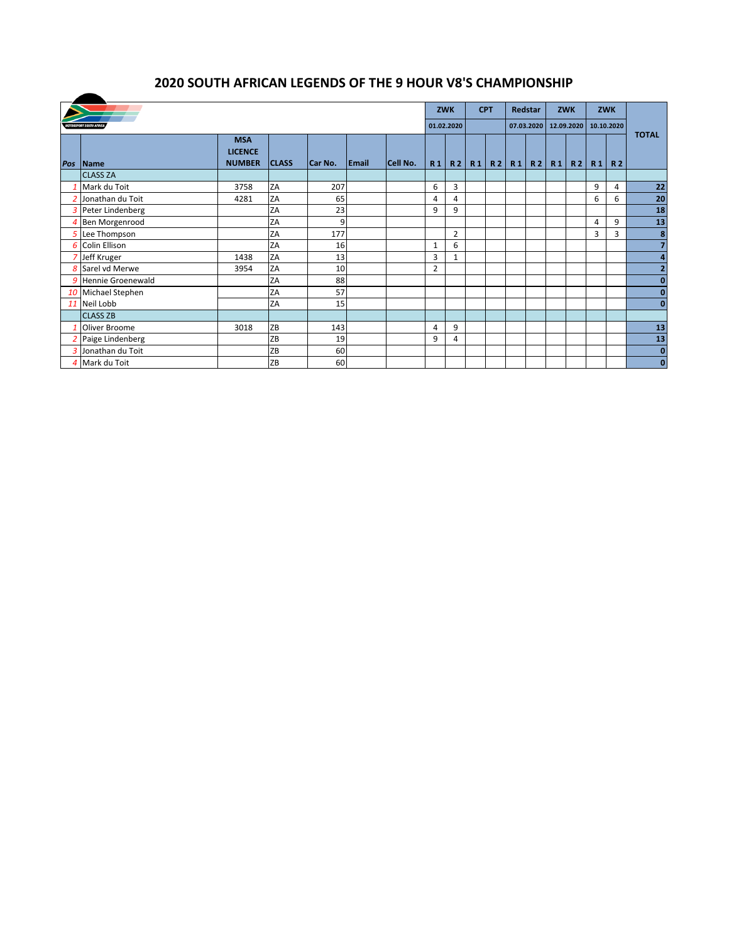## **2020 SOUTH AFRICAN LEGENDS OF THE 9 HOUR V8'S CHAMPIONSHIP**

|     |                                |                                               | <b>ZWK</b>   |            | <b>CPT</b>   |          | Redstar        |                | <b>ZWK</b> |            | <b>ZWK</b> |            |         |    |                |           |                |
|-----|--------------------------------|-----------------------------------------------|--------------|------------|--------------|----------|----------------|----------------|------------|------------|------------|------------|---------|----|----------------|-----------|----------------|
|     | <b>MOTORSPORT SOUTH AFRICA</b> |                                               |              | 01.02.2020 |              |          |                | 07.03.2020     |            | 12.09.2020 |            | 10.10.2020 |         |    |                |           |                |
| Pos | <b>Name</b>                    | <b>MSA</b><br><b>LICENCE</b><br><b>NUMBER</b> | <b>CLASS</b> | Car No.    | <b>Email</b> | Cell No. | R <sub>1</sub> | <b>R2</b>      | R1         |            | R2   R1    |            | R2   R1 | R2 | R <sub>1</sub> | <b>R2</b> | <b>TOTAL</b>   |
|     | <b>CLASS ZA</b>                |                                               |              |            |              |          |                |                |            |            |            |            |         |    |                |           |                |
|     | Mark du Toit                   | 3758                                          | ZA           | 207        |              |          | 6              | 3              |            |            |            |            |         |    | 9              | 4         | 22             |
|     | Jonathan du Toit               | 4281                                          | ZA           | 65         |              |          | 4              | 4              |            |            |            |            |         |    | 6              | 6         | 20             |
|     | 3 Peter Lindenberg             |                                               | ZA           | 23         |              |          | 9              | 9              |            |            |            |            |         |    |                |           | 18             |
|     | Ben Morgenrood                 |                                               | ZA           | 9          |              |          |                |                |            |            |            |            |         |    | 4              | 9         | <u>13</u>      |
|     | 5 Lee Thompson                 |                                               | ZA           | 177        |              |          |                | $\overline{2}$ |            |            |            |            |         |    | 3              | 3         | 8              |
|     | 6 Colin Ellison                |                                               | ZA           | 16         |              |          | $\mathbf{1}$   | 6              |            |            |            |            |         |    |                |           | $\overline{7}$ |
|     | 7 Jeff Kruger                  | 1438                                          | ZA           | 13         |              |          | 3              | $\mathbf{1}$   |            |            |            |            |         |    |                |           | 4              |
|     | 8 Sarel vd Merwe               | 3954                                          | ZA           | 10         |              |          | 2              |                |            |            |            |            |         |    |                |           | $\overline{2}$ |
| 9   | Hennie Groenewald              |                                               | ZA           | 88         |              |          |                |                |            |            |            |            |         |    |                |           | $\bf{0}$       |
|     | 10 Michael Stephen             |                                               | ZA           | 57         |              |          |                |                |            |            |            |            |         |    |                |           | $\mathbf 0$    |
|     | 11 Neil Lobb                   |                                               | ZA           | 15         |              |          |                |                |            |            |            |            |         |    |                |           | $\bf{0}$       |
|     | <b>CLASS ZB</b>                |                                               |              |            |              |          |                |                |            |            |            |            |         |    |                |           |                |
|     | Oliver Broome                  | 3018                                          | ZB           | 143        |              |          | 4              | 9              |            |            |            |            |         |    |                |           | 13             |
|     | 2 Paige Lindenberg             |                                               | ZB           | 19         |              |          | 9              | 4              |            |            |            |            |         |    |                |           | 13             |
|     | 3 Jonathan du Toit             |                                               | ZB           | 60         |              |          |                |                |            |            |            |            |         |    |                |           | $\bf{0}$       |
|     | 4 Mark du Toit                 |                                               | ZB           | 60         |              |          |                |                |            |            |            |            |         |    |                |           | $\mathbf{0}$   |